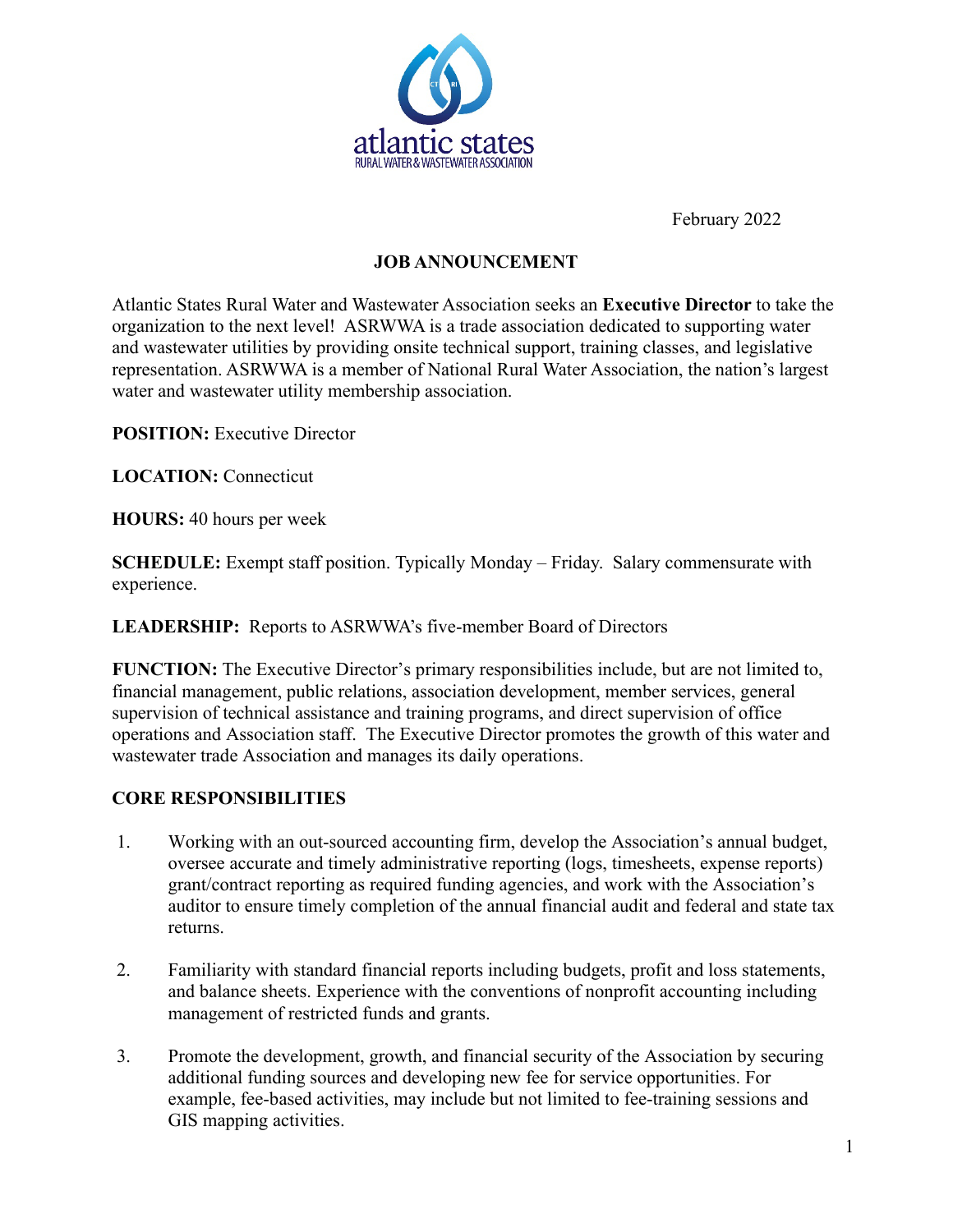

February 2022

## **JOB ANNOUNCEMENT**

Atlantic States Rural Water and Wastewater Association seeks an **Executive Director** to take the organization to the next level! ASRWWA is a trade association dedicated to supporting water and wastewater utilities by providing onsite technical support, training classes, and legislative representation. ASRWWA is a member of National Rural Water Association, the nation's largest water and wastewater utility membership association.

**POSITION:** Executive Director

**LOCATION:** Connecticut

**HOURS:** 40 hours per week

**SCHEDULE:** Exempt staff position. Typically Monday – Friday. Salary commensurate with experience.

**LEADERSHIP:** Reports to ASRWWA's five-member Board of Directors

**FUNCTION:** The Executive Director's primary responsibilities include, but are not limited to, financial management, public relations, association development, member services, general supervision of technical assistance and training programs, and direct supervision of office operations and Association staff. The Executive Director promotes the growth of this water and wastewater trade Association and manages its daily operations.

## **CORE RESPONSIBILITIES**

- 1. Working with an out-sourced accounting firm, develop the Association's annual budget, oversee accurate and timely administrative reporting (logs, timesheets, expense reports) grant/contract reporting as required funding agencies, and work with the Association's auditor to ensure timely completion of the annual financial audit and federal and state tax returns.
- 2. Familiarity with standard financial reports including budgets, profit and loss statements, and balance sheets. Experience with the conventions of nonprofit accounting including management of restricted funds and grants.
- 3. Promote the development, growth, and financial security of the Association by securing additional funding sources and developing new fee for service opportunities. For example, fee-based activities, may include but not limited to fee-training sessions and GIS mapping activities.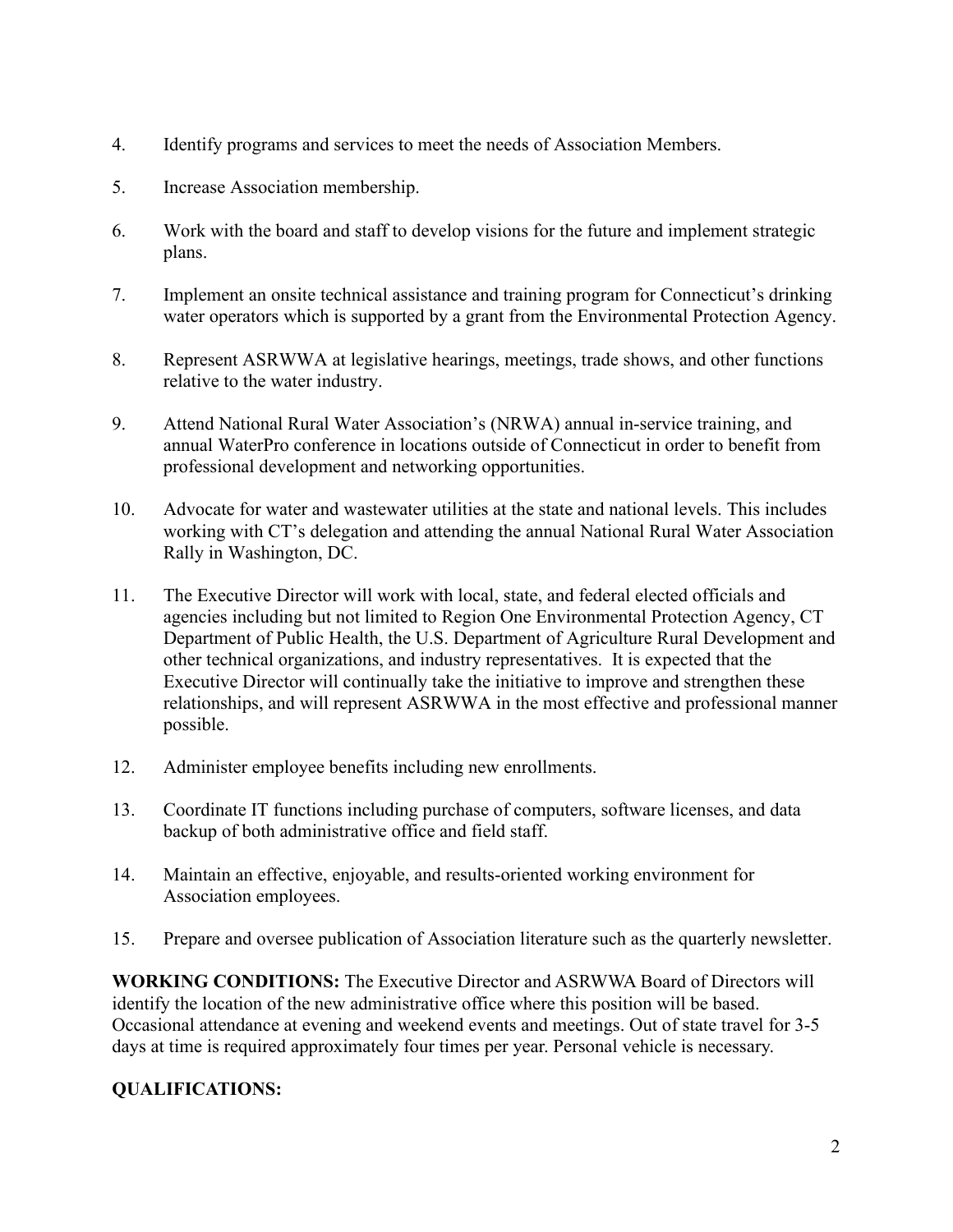- 4. Identify programs and services to meet the needs of Association Members.
- 5. Increase Association membership.
- 6. Work with the board and staff to develop visions for the future and implement strategic plans.
- 7. Implement an onsite technical assistance and training program for Connecticut's drinking water operators which is supported by a grant from the Environmental Protection Agency.
- 8. Represent ASRWWA at legislative hearings, meetings, trade shows, and other functions relative to the water industry.
- 9. Attend National Rural Water Association's (NRWA) annual in-service training, and annual WaterPro conference in locations outside of Connecticut in order to benefit from professional development and networking opportunities.
- 10. Advocate for water and wastewater utilities at the state and national levels. This includes working with CT's delegation and attending the annual National Rural Water Association Rally in Washington, DC.
- 11. The Executive Director will work with local, state, and federal elected officials and agencies including but not limited to Region One Environmental Protection Agency, CT Department of Public Health, the U.S. Department of Agriculture Rural Development and other technical organizations, and industry representatives. It is expected that the Executive Director will continually take the initiative to improve and strengthen these relationships, and will represent ASRWWA in the most effective and professional manner possible.
- 12. Administer employee benefits including new enrollments.
- 13. Coordinate IT functions including purchase of computers, software licenses, and data backup of both administrative office and field staff.
- 14. Maintain an effective, enjoyable, and results-oriented working environment for Association employees.
- 15. Prepare and oversee publication of Association literature such as the quarterly newsletter.

**WORKING CONDITIONS:** The Executive Director and ASRWWA Board of Directors will identify the location of the new administrative office where this position will be based. Occasional attendance at evening and weekend events and meetings. Out of state travel for 3-5 days at time is required approximately four times per year. Personal vehicle is necessary.

# **QUALIFICATIONS:**